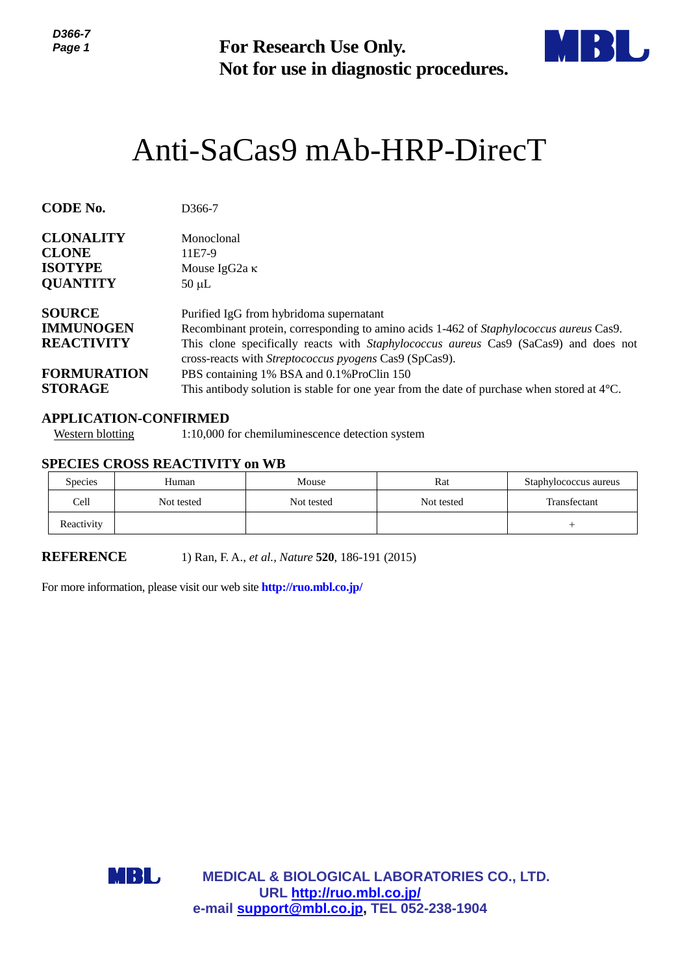

# Anti-SaCas9 mAb-HRP-DirecT

| ו-טטט<br>Page 1                                                                                  | <b>For Research Use Only.</b><br>Not for use in diagnostic procedures.                                                                                                                                                                                                              |                                                                         |                                                        |                       |  |  |  |
|--------------------------------------------------------------------------------------------------|-------------------------------------------------------------------------------------------------------------------------------------------------------------------------------------------------------------------------------------------------------------------------------------|-------------------------------------------------------------------------|--------------------------------------------------------|-----------------------|--|--|--|
|                                                                                                  |                                                                                                                                                                                                                                                                                     |                                                                         | Anti-SaCas9 mAb-HRP-DirecT                             |                       |  |  |  |
| <b>CODE No.</b>                                                                                  | D366-7                                                                                                                                                                                                                                                                              |                                                                         |                                                        |                       |  |  |  |
| <b>CLONALITY</b><br><b>CLONE</b><br><b>ISOTYPE</b><br><b>QUANTITY</b>                            | Monoclonal<br>11E7-9<br>Mouse IgG <sub>2a</sub> κ<br>$50 \mu L$                                                                                                                                                                                                                     |                                                                         |                                                        |                       |  |  |  |
| <b>SOURCE</b><br><b>IMMUNOGEN</b><br><b>REACTIVITY</b>                                           | Purified IgG from hybridoma supernatant<br>Recombinant protein, corresponding to amino acids 1-462 of Staphylococcus aureus Cas9.<br>This clone specifically reacts with Staphylococcus aureus Cas9 (SaCas9) and does not<br>cross-reacts with Streptococcus pyogens Cas9 (SpCas9). |                                                                         |                                                        |                       |  |  |  |
| <b>FORMURATION</b><br><b>STORAGE</b>                                                             | PBS containing 1% BSA and 0.1% ProClin 150<br>This antibody solution is stable for one year from the date of purchase when stored at $4^{\circ}$ C.                                                                                                                                 |                                                                         |                                                        |                       |  |  |  |
| <b>APPLICATION-CONFIRMED</b><br><b>Western blotting</b><br><b>SPECIES CROSS REACTIVITY on WB</b> |                                                                                                                                                                                                                                                                                     | 1:10,000 for chemiluminescence detection system                         |                                                        |                       |  |  |  |
| <b>Species</b>                                                                                   | Human                                                                                                                                                                                                                                                                               | Mouse                                                                   | Rat                                                    | Staphylococcus aureus |  |  |  |
| Cell                                                                                             | Not tested                                                                                                                                                                                                                                                                          | Not tested                                                              | Not tested                                             | Transfectant          |  |  |  |
| Reactivity                                                                                       |                                                                                                                                                                                                                                                                                     |                                                                         |                                                        | $^{+}$                |  |  |  |
| <b>REFERENCE</b>                                                                                 |                                                                                                                                                                                                                                                                                     | 1) Ran, F. A., et al., Nature 520, 186-191 (2015)                       |                                                        |                       |  |  |  |
| For more information, please visit our web site http://ruo.mbl.co.jp/                            |                                                                                                                                                                                                                                                                                     |                                                                         |                                                        |                       |  |  |  |
| MBL                                                                                              |                                                                                                                                                                                                                                                                                     | URL http://ruo.mbl.co.jp/<br>e-mail support@mbl.co.jp, TEL 052-238-1904 | <b>MEDICAL &amp; BIOLOGICAL LABORATORIES CO., LTD.</b> |                       |  |  |  |

#### **APPLICATION-CONFIRMED**

### **SPECIES CROSS REACTIVITY on WB**

| Species    | Human      | Mouse      | Rat        | Staphylococcus aureus |
|------------|------------|------------|------------|-----------------------|
| Cell       | Not tested | Not tested | Not tested | Transfectant          |
| Reactivity |            |            |            |                       |

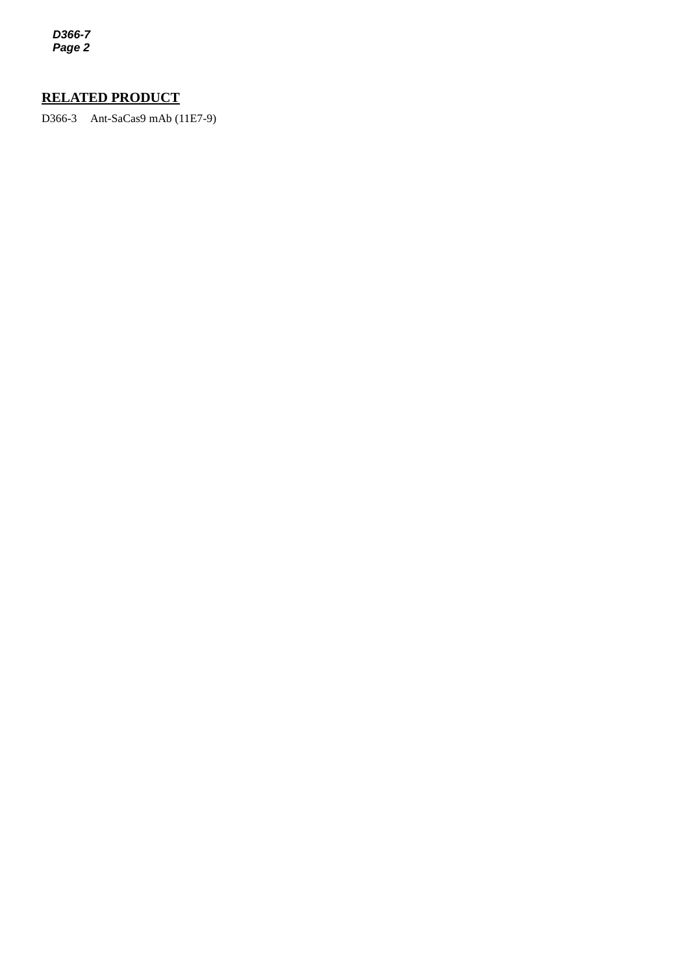*D366-7 Page 2*

## **RELATED PRODUCT**

*2* D366-3 Ant-SaCas9 mAb (11E7-9)